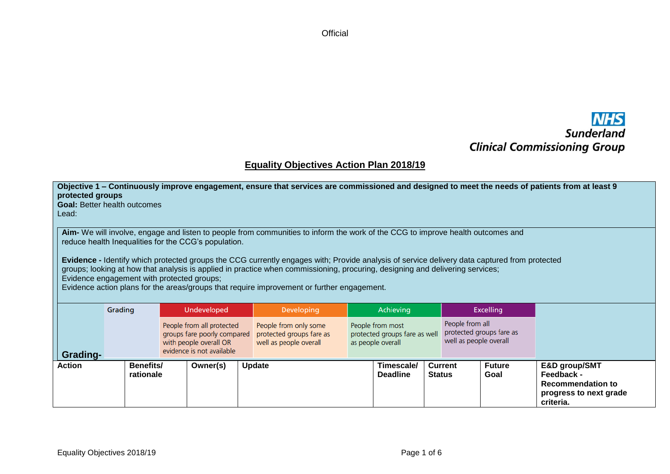**Official** 

## **NHS**<br>Sunderland **Clinical Commissioning Group**

## **Equality Objectives Action Plan 2018/19**

| protected groups<br><b>Goal: Better health outcomes</b><br>Lead:                                                                                                                                                                                                                                                                                                                                                                                                                                                                                                                                                     |  |                                                                                                                                                                                                                                                                                                                                                   |                    |               | Objective 1 – Continuously improve engagement, ensure that services are commissioned and designed to meet the needs of patients from at least 9 |  |                               |                  |                |                       |                                                                                                |
|----------------------------------------------------------------------------------------------------------------------------------------------------------------------------------------------------------------------------------------------------------------------------------------------------------------------------------------------------------------------------------------------------------------------------------------------------------------------------------------------------------------------------------------------------------------------------------------------------------------------|--|---------------------------------------------------------------------------------------------------------------------------------------------------------------------------------------------------------------------------------------------------------------------------------------------------------------------------------------------------|--------------------|---------------|-------------------------------------------------------------------------------------------------------------------------------------------------|--|-------------------------------|------------------|----------------|-----------------------|------------------------------------------------------------------------------------------------|
| Aim- We will involve, engage and listen to people from communities to inform the work of the CCG to improve health outcomes and<br>reduce health Inequalities for the CCG's population.<br>Evidence - Identify which protected groups the CCG currently engages with; Provide analysis of service delivery data captured from protected<br>groups; looking at how that analysis is applied in practice when commissioning, procuring, designing and delivering services;<br>Evidence engagement with protected groups;<br>Evidence action plans for the areas/groups that require improvement or further engagement. |  |                                                                                                                                                                                                                                                                                                                                                   |                    |               |                                                                                                                                                 |  |                               |                  |                |                       |                                                                                                |
| Grading                                                                                                                                                                                                                                                                                                                                                                                                                                                                                                                                                                                                              |  |                                                                                                                                                                                                                                                                                                                                                   | <b>Undeveloped</b> |               | <b>Developing</b>                                                                                                                               |  | Achieving                     | <b>Excelling</b> |                |                       |                                                                                                |
| Grading-                                                                                                                                                                                                                                                                                                                                                                                                                                                                                                                                                                                                             |  | People from all<br>People from only some<br>People from most<br>People from all protected<br>protected groups fare as<br>protected groups fare as<br>protected groups fare as well<br>groups fare poorly compared<br>well as people overall<br>with people overall OR<br>well as people overall<br>as people overall<br>evidence is not available |                    |               |                                                                                                                                                 |  |                               |                  |                |                       |                                                                                                |
| <b>Benefits/</b><br>Action<br>rationale                                                                                                                                                                                                                                                                                                                                                                                                                                                                                                                                                                              |  |                                                                                                                                                                                                                                                                                                                                                   | Owner(s)           | <b>Update</b> |                                                                                                                                                 |  | Timescale/<br><b>Deadline</b> | <b>Status</b>    | <b>Current</b> | <b>Future</b><br>Goal | E&D group/SMT<br>Feedback -<br><b>Recommendation to</b><br>progress to next grade<br>criteria. |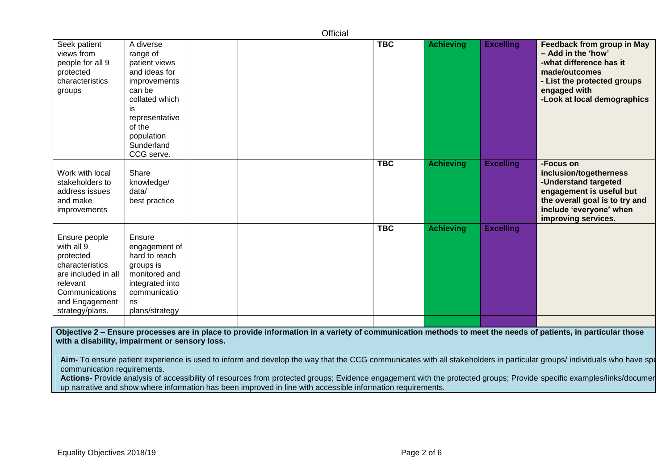|                                                                                                                                                                                                               |                                                                                                                                                                                  |  |  | Official |            |                  |                  |                                                                                                                                                                             |  |  |
|---------------------------------------------------------------------------------------------------------------------------------------------------------------------------------------------------------------|----------------------------------------------------------------------------------------------------------------------------------------------------------------------------------|--|--|----------|------------|------------------|------------------|-----------------------------------------------------------------------------------------------------------------------------------------------------------------------------|--|--|
| Seek patient<br>views from<br>people for all 9<br>protected<br>characteristics<br>groups                                                                                                                      | A diverse<br>range of<br>patient views<br>and ideas for<br>improvements<br>can be<br>collated which<br>is.<br>representative<br>of the<br>population<br>Sunderland<br>CCG serve. |  |  |          | <b>TBC</b> | <b>Achieving</b> | <b>Excelling</b> | Feedback from group in May<br>- Add in the 'how'<br>-what difference has it<br>made/outcomes<br>- List the protected groups<br>engaged with<br>-Look at local demographics  |  |  |
| Work with local<br>stakeholders to<br>address issues<br>and make<br>improvements                                                                                                                              | Share<br>knowledge/<br>data/<br>best practice                                                                                                                                    |  |  |          | <b>TBC</b> | <b>Achieving</b> | <b>Excelling</b> | -Focus on<br>inclusion/togetherness<br>-Understand targeted<br>engagement is useful but<br>the overall goal is to try and<br>include 'everyone' when<br>improving services. |  |  |
| Ensure people<br>with all 9<br>protected<br>characteristics<br>are included in all<br>relevant<br>Communications<br>and Engagement<br>strategy/plans.                                                         | Ensure<br>engagement of<br>hard to reach<br>groups is<br>monitored and<br>integrated into<br>communicatio<br>ns<br>plans/strategy                                                |  |  |          | <b>TBC</b> | <b>Achieving</b> | <b>Excelling</b> |                                                                                                                                                                             |  |  |
| Objective 2 – Ensure processes are in place to provide information in a variety of communication methods to meet the needs of patients, in particular those<br>with a disability, impairment or sensory loss. |                                                                                                                                                                                  |  |  |          |            |                  |                  |                                                                                                                                                                             |  |  |

Aim- To ensure patient experience is used to inform and develop the way that the CCG communicates with all stakeholders in particular groups/ individuals who have spe communication requirements.

Actions- Provide analysis of accessibility of resources from protected groups; Evidence engagement with the protected groups; Provide specific examples/links/documer up narrative and show where information has been improved in line with accessible information requirements.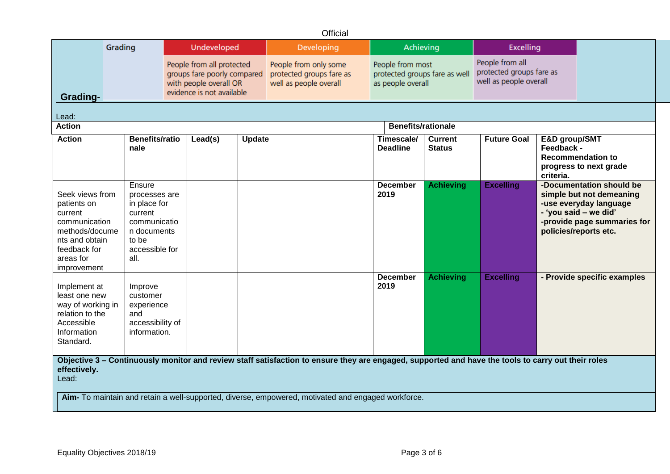## **Official**

|                                                                                                                                                                                                                                                                                   | Grading<br>Undeveloped<br>People from all protected<br>groups fare poorly compared<br>with people overall OR<br>evidence is not available |  |         |                                                                             | <b>Developing</b>                                                      | Achieving                     |                                                                       | <b>Excelling</b>   |                                          |                                                                                                                                                                 |  |  |
|-----------------------------------------------------------------------------------------------------------------------------------------------------------------------------------------------------------------------------------------------------------------------------------|-------------------------------------------------------------------------------------------------------------------------------------------|--|---------|-----------------------------------------------------------------------------|------------------------------------------------------------------------|-------------------------------|-----------------------------------------------------------------------|--------------------|------------------------------------------|-----------------------------------------------------------------------------------------------------------------------------------------------------------------|--|--|
| Grading-                                                                                                                                                                                                                                                                          |                                                                                                                                           |  |         | People from only some<br>protected groups fare as<br>well as people overall | People from most<br>protected groups fare as well<br>as people overall |                               | People from all<br>protected groups fare as<br>well as people overall |                    |                                          |                                                                                                                                                                 |  |  |
| Lead:                                                                                                                                                                                                                                                                             |                                                                                                                                           |  |         |                                                                             |                                                                        |                               |                                                                       |                    |                                          |                                                                                                                                                                 |  |  |
| <b>Benefits/rationale</b><br><b>Action</b>                                                                                                                                                                                                                                        |                                                                                                                                           |  |         |                                                                             |                                                                        |                               |                                                                       |                    |                                          |                                                                                                                                                                 |  |  |
| <b>Action</b>                                                                                                                                                                                                                                                                     | <b>Benefits/ratio</b><br>nale                                                                                                             |  | Lead(s) | <b>Update</b>                                                               |                                                                        | Timescale/<br><b>Deadline</b> | <b>Current</b><br><b>Status</b>                                       | <b>Future Goal</b> | E&D group/SMT<br>Feedback -<br>criteria. | <b>Recommendation to</b><br>progress to next grade                                                                                                              |  |  |
| Seek views from<br>patients on<br>current<br>communication<br>methods/docume<br>nts and obtain<br>feedback for<br>areas for<br>improvement                                                                                                                                        | Ensure<br>processes are<br>in place for<br>current<br>communicatio<br>n documents<br>to be<br>accessible for<br>all.                      |  |         |                                                                             |                                                                        | <b>December</b><br>2019       | <b>Achieving</b>                                                      | <b>Excelling</b>   |                                          | -Documentation should be<br>simple but not demeaning<br>-use everyday language<br>- 'you said - we did'<br>-provide page summaries for<br>policies/reports etc. |  |  |
| Implement at<br>least one new<br>way of working in<br>relation to the<br>Accessible<br>Information<br>Standard.                                                                                                                                                                   | Improve<br>customer<br>experience<br>and<br>accessibility of<br>information.                                                              |  |         |                                                                             |                                                                        | <b>December</b><br>2019       | <b>Achieving</b>                                                      | <b>Excelling</b>   |                                          | - Provide specific examples                                                                                                                                     |  |  |
| Objective 3 – Continuously monitor and review staff satisfaction to ensure they are engaged, supported and have the tools to carry out their roles<br>effectively.<br>Lead:<br>Aim- To maintain and retain a well-supported, diverse, empowered, motivated and engaged workforce. |                                                                                                                                           |  |         |                                                                             |                                                                        |                               |                                                                       |                    |                                          |                                                                                                                                                                 |  |  |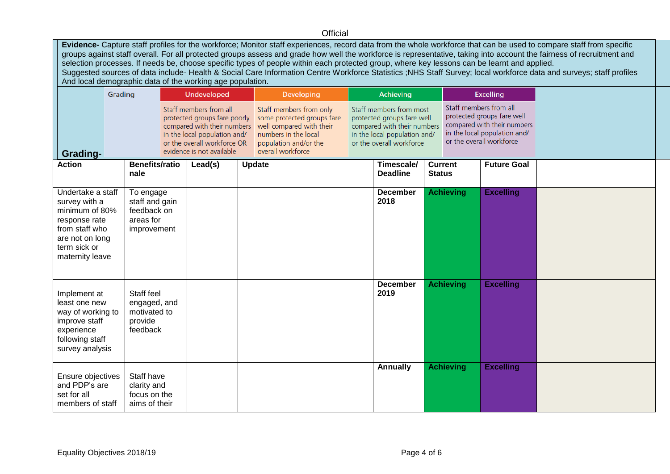## **Official**

**Evidence-** Capture staff profiles for the workforce; Monitor staff experiences, record data from the whole workforce that can be used to compare staff from specific groups against staff overall. For all protected groups assess and grade how well the workforce is representative, taking into account the fairness of recruitment and selection processes. If needs be, choose specific types of people within each protected group, where key lessons can be learnt and applied. Suggested sources of data include- Health & Social Care Information Centre Workforce Statistics ;NHS Staff Survey; local workforce data and surveys; staff profiles And local demographic data of the working age population.

| Grading                                                                                                                                       |                                                                        | <b>Undeveloped</b>                                                                                                                                                                |         |  | <b>Developing</b>                                                                                                                                       | Achieving                                                                                                                                        |                               |               | <b>Excelling</b> |                                                                                                                                                 |  |
|-----------------------------------------------------------------------------------------------------------------------------------------------|------------------------------------------------------------------------|-----------------------------------------------------------------------------------------------------------------------------------------------------------------------------------|---------|--|---------------------------------------------------------------------------------------------------------------------------------------------------------|--------------------------------------------------------------------------------------------------------------------------------------------------|-------------------------------|---------------|------------------|-------------------------------------------------------------------------------------------------------------------------------------------------|--|
| Grading-                                                                                                                                      |                                                                        | Staff members from all<br>protected groups fare poorly<br>compared with their numbers<br>in the local population and/<br>or the overall workforce OR<br>evidence is not available |         |  | Staff members from only<br>some protected groups fare<br>well compared with their<br>numbers in the local<br>population and/or the<br>overall workforce | Staff members from most<br>protected groups fare well<br>compared with their numbers<br>in the local population and/<br>or the overall workforce |                               |               |                  | Staff members from all<br>protected groups fare well<br>compared with their numbers<br>in the local population and/<br>or the overall workforce |  |
| <b>Action</b>                                                                                                                                 | <b>Benefits/ratio</b><br>nale                                          |                                                                                                                                                                                   | Lead(s) |  | <b>Update</b>                                                                                                                                           |                                                                                                                                                  | Timescale/<br><b>Deadline</b> | <b>Status</b> | <b>Current</b>   | <b>Future Goal</b>                                                                                                                              |  |
| Undertake a staff<br>survey with a<br>minimum of 80%<br>response rate<br>from staff who<br>are not on long<br>term sick or<br>maternity leave | To engage<br>staff and gain<br>feedback on<br>areas for<br>improvement |                                                                                                                                                                                   |         |  |                                                                                                                                                         |                                                                                                                                                  | <b>December</b><br>2018       |               | <b>Achieving</b> | <b>Excelling</b>                                                                                                                                |  |
| Implement at<br>least one new<br>way of working to<br>improve staff<br>experience<br>following staff<br>survey analysis                       | Staff feel<br>engaged, and<br>motivated to<br>provide<br>feedback      |                                                                                                                                                                                   |         |  |                                                                                                                                                         |                                                                                                                                                  | <b>December</b><br>2019       |               | <b>Achieving</b> | <b>Excelling</b>                                                                                                                                |  |
| Ensure objectives<br>and PDP's are<br>set for all<br>members of staff                                                                         | Staff have<br>clarity and<br>focus on the<br>aims of their             |                                                                                                                                                                                   |         |  |                                                                                                                                                         |                                                                                                                                                  | <b>Annually</b>               |               | <b>Achieving</b> | <b>Excelling</b>                                                                                                                                |  |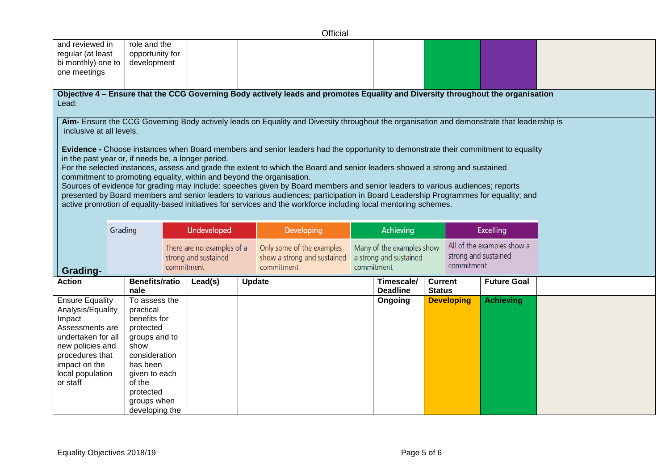|                                                                                                                                                                                        |                                                                  |                                                                                                                                                                      |  |                                                                                                                                                                                                                 | Official                                                                                                                                                                                                                                                                                                                                                                                                                                                                                                                                                                                                                                                                                                                             |  |                               |                                 |                   |                    |  |
|----------------------------------------------------------------------------------------------------------------------------------------------------------------------------------------|------------------------------------------------------------------|----------------------------------------------------------------------------------------------------------------------------------------------------------------------|--|-----------------------------------------------------------------------------------------------------------------------------------------------------------------------------------------------------------------|--------------------------------------------------------------------------------------------------------------------------------------------------------------------------------------------------------------------------------------------------------------------------------------------------------------------------------------------------------------------------------------------------------------------------------------------------------------------------------------------------------------------------------------------------------------------------------------------------------------------------------------------------------------------------------------------------------------------------------------|--|-------------------------------|---------------------------------|-------------------|--------------------|--|
| and reviewed in<br>regular (at least<br>bi monthly) one to<br>one meetings                                                                                                             |                                                                  | role and the<br>opportunity for<br>development                                                                                                                       |  |                                                                                                                                                                                                                 |                                                                                                                                                                                                                                                                                                                                                                                                                                                                                                                                                                                                                                                                                                                                      |  |                               |                                 |                   |                    |  |
| Lead:                                                                                                                                                                                  |                                                                  |                                                                                                                                                                      |  |                                                                                                                                                                                                                 | Objective 4 – Ensure that the CCG Governing Body actively leads and promotes Equality and Diversity throughout the organisation                                                                                                                                                                                                                                                                                                                                                                                                                                                                                                                                                                                                      |  |                               |                                 |                   |                    |  |
| inclusive at all levels.                                                                                                                                                               |                                                                  |                                                                                                                                                                      |  |                                                                                                                                                                                                                 | Aim- Ensure the CCG Governing Body actively leads on Equality and Diversity throughout the organisation and demonstrate that leadership is                                                                                                                                                                                                                                                                                                                                                                                                                                                                                                                                                                                           |  |                               |                                 |                   |                    |  |
| in the past year or, if needs be, a longer period.                                                                                                                                     |                                                                  |                                                                                                                                                                      |  |                                                                                                                                                                                                                 | Evidence - Choose instances when Board members and senior leaders had the opportunity to demonstrate their commitment to equality<br>For the selected instances, assess and grade the extent to which the Board and senior leaders showed a strong and sustained<br>commitment to promoting equality, within and beyond the organisation.<br>Sources of evidence for grading may include: speeches given by Board members and senior leaders to various audiences; reports<br>presented by Board members and senior leaders to various audiences; participation in Board Leadership Programmes for equality; and<br>active promotion of equality-based initiatives for services and the workforce including local mentoring schemes. |  |                               |                                 |                   |                    |  |
|                                                                                                                                                                                        | Grading                                                          |                                                                                                                                                                      |  | Undeveloped                                                                                                                                                                                                     | <b>Developing</b>                                                                                                                                                                                                                                                                                                                                                                                                                                                                                                                                                                                                                                                                                                                    |  | Achieving                     |                                 |                   | <b>Excelling</b>   |  |
| <b>Grading-</b>                                                                                                                                                                        | There are no examples of a<br>strong and sustained<br>commitment |                                                                                                                                                                      |  | All of the examples show a<br>Only some of the examples<br>Many of the examples show<br>strong and sustained<br>show a strong and sustained<br>a strong and sustained<br>commitment<br>commitment<br>commitment |                                                                                                                                                                                                                                                                                                                                                                                                                                                                                                                                                                                                                                                                                                                                      |  |                               |                                 |                   |                    |  |
| <b>Action</b>                                                                                                                                                                          |                                                                  | Benefits/ratio<br>nale                                                                                                                                               |  | Lead(s)                                                                                                                                                                                                         | <b>Update</b>                                                                                                                                                                                                                                                                                                                                                                                                                                                                                                                                                                                                                                                                                                                        |  | Timescale/<br><b>Deadline</b> | <b>Current</b><br><b>Status</b> |                   | <b>Future Goal</b> |  |
| <b>Ensure Equality</b><br>Analysis/Equality<br>Impact<br>Assessments are<br>undertaken for all<br>new policies and<br>procedures that<br>impact on the<br>local population<br>or staff |                                                                  | To assess the<br>practical<br>benefits for<br>protected<br>groups and to<br>show<br>consideration<br>has been<br>given to each<br>of the<br>protected<br>groups when |  |                                                                                                                                                                                                                 |                                                                                                                                                                                                                                                                                                                                                                                                                                                                                                                                                                                                                                                                                                                                      |  | Ongoing                       |                                 | <b>Developing</b> | <b>Achieving</b>   |  |